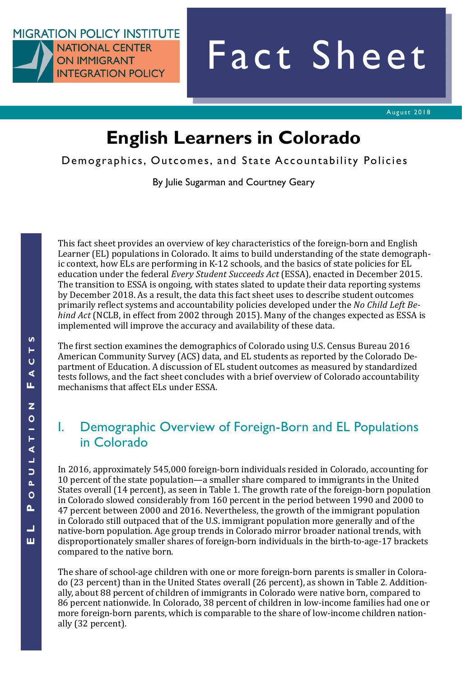**MIGRATION POLICY INSTITUTE NATIONAL CENTER ON IMMIGRANT INTEGRATION POLICY** 

# Fact Sheet

# **English Learners in Colorado**

Demographics, Outcomes, and State Accountability Policies

By Julie Sugarman and Courtney Geary

This fact sheet provides an overview of key characteristics of the foreign-born and English Learner (EL) populations in Colorado. It aims to build understanding of the state demographic context, how ELs are performing in K-12 schools, and the basics of state policies for EL education under the federal *Every Student Succeeds Act* (ESSA), enacted in December 2015. The transition to ESSA is ongoing, with states slated to update their data reporting systems by December 2018. As a result, the data this fact sheet uses to describe student outcomes primarily reflect systems and accountability policies developed under the *No Child Left Behind Act* (NCLB, in effect from 2002 through 2015). Many of the changes expected as ESSA is implemented will improve the accuracy and availability of these data.

The first section examines the demographics of Colorado using U.S. Census Bureau 2016 American Community Survey (ACS) data, and EL students as reported by the Colorado Department of Education. A discussion of EL student outcomes as measured by standardized tests follows, and the fact sheet concludes with a brief overview of Colorado accountability mechanisms that affect ELs under ESSA.

## I. Demographic Overview of Foreign-Born and EL Populations in Colorado

In 2016, approximately 545,000 foreign-born individuals resided in Colorado, accounting for 10 percent of the state population—a smaller share compared to immigrants in the United States overall (14 percent), as seen in Table 1. The growth rate of the foreign-born population in Colorado slowed considerably from 160 percent in the period between 1990 and 2000 to 47 percent between 2000 and 2016. Nevertheless, the growth of the immigrant population in Colorado still outpaced that of the U.S. immigrant population more generally and of the native-born population. Age group trends in Colorado mirror broader national trends, with disproportionately smaller shares of foreign-born individuals in the birth-to-age-17 brackets compared to the native born.

The share of school-age children with one or more foreign-born parents is smaller in Colorado (23 percent) than in the United States overall (26 percent), as shown in Table 2. Additionally, about 88 percent of children of immigrants in Colorado were native born, compared to 86 percent nationwide. In Colorado, 38 percent of children in low-income families had one or more foreign-born parents, which is comparable to the share of low-income children nationally (32 percent).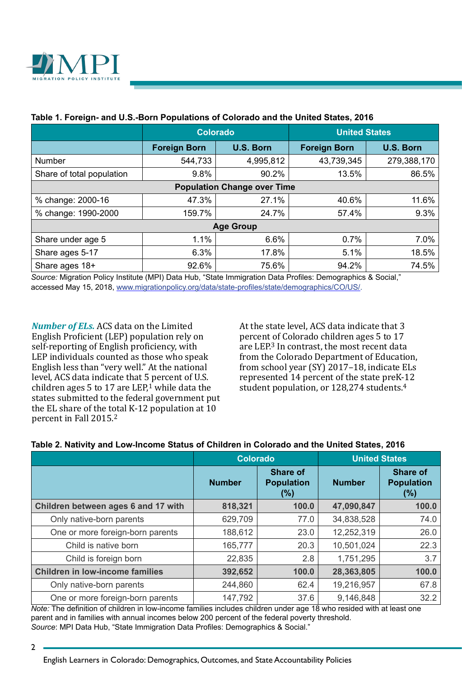

|                                    | <b>Colorado</b>     |           | <b>United States</b> |                  |  |  |  |  |  |
|------------------------------------|---------------------|-----------|----------------------|------------------|--|--|--|--|--|
|                                    | <b>Foreign Born</b> | U.S. Born | <b>Foreign Born</b>  | <b>U.S. Born</b> |  |  |  |  |  |
| Number                             | 544,733             | 4,995,812 | 43,739,345           | 279,388,170      |  |  |  |  |  |
| Share of total population          | 9.8%                | 90.2%     | 13.5%                | 86.5%            |  |  |  |  |  |
| <b>Population Change over Time</b> |                     |           |                      |                  |  |  |  |  |  |
| % change: 2000-16                  | 47.3%               | 27.1%     | 40.6%                | 11.6%            |  |  |  |  |  |
| % change: 1990-2000                | 159.7%              | 24.7%     | 57.4%                | 9.3%             |  |  |  |  |  |
| <b>Age Group</b>                   |                     |           |                      |                  |  |  |  |  |  |
| Share under age 5                  | 1.1%                | 6.6%      | 0.7%                 | 7.0%             |  |  |  |  |  |
| Share ages 5-17                    | 6.3%                | 17.8%     | 5.1%                 | 18.5%            |  |  |  |  |  |
| Share ages 18+                     | 92.6%               | 75.6%     | 94.2%                | 74.5%            |  |  |  |  |  |

#### **Table 1. Foreign- and U.S.-Born Populations of Colorado and the United States, 2016**

*Source:* Migration Policy Institute (MPI) Data Hub, "State Immigration Data Profiles: Demographics & Social," accessed May 15, 2018, [www.migrationpolicy.org/data/state-profiles/state/demographics/CO/US/](http://www.migrationpolicy.org/data/state-profiles/state/demographics/CO/US/).

*Number of ELs.* ACS data on the Limited English Proficient (LEP) population rely on self-reporting of English proficiency, with LEP individuals counted as those who speak English less than "very well." At the national level, ACS data indicate that 5 percent of U.S. children ages 5 to 17 are LEP,<sup>1</sup> while data the states submitted to the federal government put the EL share of the total K-12 population at 10 percent in Fall 2015.2

At the state level, ACS data indicate that 3 percent of Colorado children ages 5 to 17 are LEP.3 In contrast, the most recent data from the Colorado Department of Education, from school year (SY) 2017–18, indicate ELs represented 14 percent of the state preK-12 student population, or 128,274 students.<sup>4</sup>

#### **Table 2. Nativity and Low-Income Status of Children in Colorado and the United States, 2016**

|                                        | <b>Colorado</b> |                                                | <b>United States</b> |                                      |  |
|----------------------------------------|-----------------|------------------------------------------------|----------------------|--------------------------------------|--|
|                                        | <b>Number</b>   | <b>Share of</b><br><b>Population</b><br>$(\%)$ | <b>Number</b>        | Share of<br><b>Population</b><br>(%) |  |
| Children between ages 6 and 17 with    | 818,321         | 100.0                                          | 47,090,847           | 100.0                                |  |
| Only native-born parents               | 629,709         | 77.0                                           | 34,838,528           | 74.0                                 |  |
| One or more foreign-born parents       | 188,612         | 23.0                                           | 12,252,319           | 26.0                                 |  |
| Child is native born                   | 165,777         | 20.3                                           | 10,501,024           | 22.3                                 |  |
| Child is foreign born                  | 22,835          | 2.8                                            | 1,751,295            | 3.7                                  |  |
| <b>Children in low-income families</b> | 392,652         | 100.0                                          | 28,363,805           | 100.0                                |  |
| Only native-born parents               | 244,860         | 62.4                                           | 19,216,957           | 67.8                                 |  |
| One or more foreign-born parents       | 147,792         | 37.6                                           | 9,146,848            | 32.2                                 |  |

*Note:* The definition of children in low-income families includes children under age 18 who resided with at least one parent and in families with annual incomes below 200 percent of the federal poverty threshold. *Source*: MPI Data Hub, "State Immigration Data Profiles: Demographics & Social."

<sup>2</sup>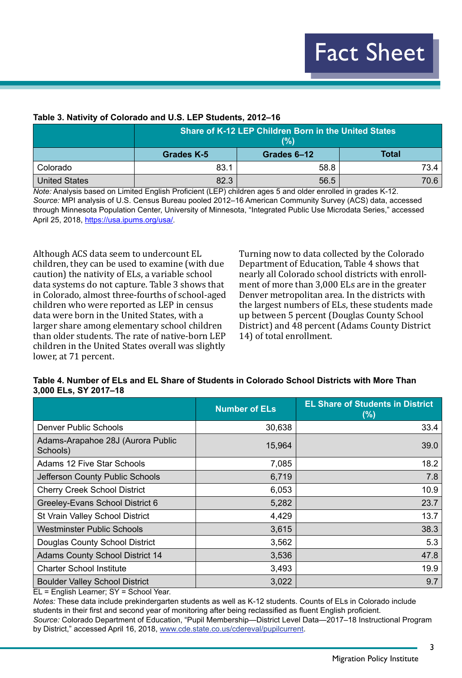#### **Table 3. Nativity of Colorado and U.S. LEP Students, 2012–16**

|               | Share of K-12 LEP Children Born in the United States<br>(%) |             |              |  |  |  |  |  |
|---------------|-------------------------------------------------------------|-------------|--------------|--|--|--|--|--|
|               | <b>Grades K-5</b>                                           | Grades 6-12 | <b>Total</b> |  |  |  |  |  |
| Colorado      | 83.1                                                        | 58.8        | 73.4         |  |  |  |  |  |
| United States | 82.3                                                        | 56.5        | 70.6         |  |  |  |  |  |

*Note:* Analysis based on Limited English Proficient (LEP) children ages 5 and older enrolled in grades K-12. *Source:* MPI analysis of U.S. Census Bureau pooled 2012–16 American Community Survey (ACS) data, accessed through Minnesota Population Center, University of Minnesota, "Integrated Public Use Microdata Series," accessed April 25, 2018,<https://usa.ipums.org/usa/>.

Although ACS data seem to undercount EL children, they can be used to examine (with due caution) the nativity of ELs, a variable school data systems do not capture. Table 3 shows that in Colorado, almost three-fourths of school-aged children who were reported as LEP in census data were born in the United States, with a larger share among elementary school children than older students. The rate of native-born LEP children in the United States overall was slightly lower, at 71 percent.

Turning now to data collected by the Colorado Department of Education, Table 4 shows that nearly all Colorado school districts with enrollment of more than 3,000 ELs are in the greater Denver metropolitan area. In the districts with the largest numbers of ELs, these students made up between 5 percent (Douglas County School District) and 48 percent (Adams County District 14) of total enrollment.

#### **Table 4. Number of ELs and EL Share of Students in Colorado School Districts with More Than 3,000 ELs, SY 2017–18**

|                                               | <b>Number of ELs</b> | <b>EL Share of Students in District</b><br>(%) |
|-----------------------------------------------|----------------------|------------------------------------------------|
| <b>Denver Public Schools</b>                  | 30,638               | 33.4                                           |
| Adams-Arapahoe 28J (Aurora Public<br>Schools) | 15,964               | 39.0                                           |
| Adams 12 Five Star Schools                    | 7,085                | 18.2                                           |
| Jefferson County Public Schools               | 6,719                | 7.8                                            |
| <b>Cherry Creek School District</b>           | 6,053                | 10.9                                           |
| Greeley-Evans School District 6               | 5,282                | 23.7                                           |
| St Vrain Valley School District               | 4,429                | 13.7                                           |
| <b>Westminster Public Schools</b>             | 3,615                | 38.3                                           |
| Douglas County School District                | 3,562                | 5.3                                            |
| <b>Adams County School District 14</b>        | 3,536                | 47.8                                           |
| <b>Charter School Institute</b>               | 3,493                | 19.9                                           |
| <b>Boulder Valley School District</b>         | 3,022                | 9.7                                            |

EL = English Learner; SY = School Year.

*Notes:* These data include prekindergarten students as well as K-12 students. Counts of ELs in Colorado include students in their first and second year of monitoring after being reclassified as fluent English proficient.

*Source:* Colorado Department of Education, "Pupil Membership—District Level Data—2017–18 Instructional Program by District," accessed April 16, 2018, [www.cde.state.co.us/cdereval/pupilcurrent.](http://www.cde.state.co.us/cdereval/pupilcurrent)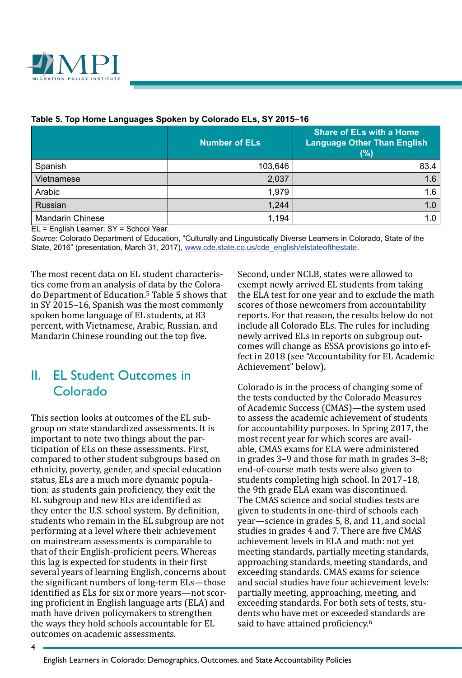

|                         | <b>Number of ELs</b> | <b>Share of ELs with a Home</b><br><b>Language Other Than English</b><br>(%) |
|-------------------------|----------------------|------------------------------------------------------------------------------|
| Spanish                 | 103,646              | 83.4                                                                         |
| Vietnamese              | 2,037                | 1.6                                                                          |
| Arabic                  | 1,979                | 1.6                                                                          |
| Russian                 | 1,244                | 1.0                                                                          |
| <b>Mandarin Chinese</b> | 1,194                | 1.0                                                                          |

#### **Table 5. Top Home Languages Spoken by Colorado ELs, SY 2015–16**

EL = English Learner; SY = School Year.

*Source*: Colorado Department of Education, "Culturally and Linguistically Diverse Learners in Colorado, State of the State, 2016" (presentation, March 31, 2017), [www.cde.state.co.us/cde\\_english/elstateofthestate](http://www.cde.state.co.us/cde_english/elstateofthestate).

The most recent data on EL student characteristics come from an analysis of data by the Colorado Department of Education.5 Table 5 shows that in SY 2015–16, Spanish was the most commonly spoken home language of EL students, at 83 percent, with Vietnamese, Arabic, Russian, and Mandarin Chinese rounding out the top five.

## II. EL Student Outcomes in Colorado

This section looks at outcomes of the EL subgroup on state standardized assessments. It is important to note two things about the participation of ELs on these assessments. First, compared to other student subgroups based on ethnicity, poverty, gender, and special education status, ELs are a much more dynamic population: as students gain proficiency, they exit the EL subgroup and new ELs are identified as they enter the U.S. school system. By definition, students who remain in the EL subgroup are not performing at a level where their achievement on mainstream assessments is comparable to that of their English-proficient peers. Whereas this lag is expected for students in their first several years of learning English, concerns about the significant numbers of long-term ELs—those identified as ELs for six or more years—not scoring proficient in English language arts (ELA) and math have driven policymakers to strengthen the ways they hold schools accountable for EL outcomes on academic assessments.

Second, under NCLB, states were allowed to exempt newly arrived EL students from taking the ELA test for one year and to exclude the math scores of those newcomers from accountability reports. For that reason, the results below do not include all Colorado ELs. The rules for including newly arrived ELs in reports on subgroup outcomes will change as ESSA provisions go into effect in 2018 (see "Accountability for EL Academic Achievement" below).

Colorado is in the process of changing some of the tests conducted by the Colorado Measures of Academic Success (CMAS)—the system used to assess the academic achievement of students for accountability purposes. In Spring 2017, the most recent year for which scores are available, CMAS exams for ELA were administered in grades 3–9 and those for math in grades 3–8; end-of-course math tests were also given to students completing high school. In 2017–18, the 9th grade ELA exam was discontinued. The CMAS science and social studies tests are given to students in one-third of schools each year—science in grades 5, 8, and 11, and social studies in grades 4 and 7. There are five CMAS achievement levels in ELA and math: not yet meeting standards, partially meeting standards, approaching standards, meeting standards, and exceeding standards. CMAS exams for science and social studies have four achievement levels: partially meeting, approaching, meeting, and exceeding standards. For both sets of tests, students who have met or exceeded standards are said to have attained proficiency.<sup>6</sup>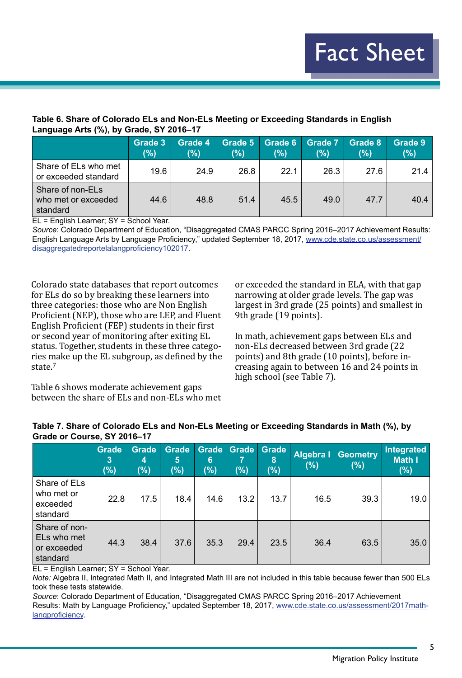#### **Table 6. Share of Colorado ELs and Non-ELs Meeting or Exceeding Standards in English Language Arts (%), by Grade, SY 2016–17**

|                                                     | Grade 3<br>(%) | Grade 4<br>(%) | Grade 5<br>(%) | Grade 6<br>(%) | <b>Grade 7</b><br>(%) | Grade 8<br>(%) | Grade 9<br>(%) |
|-----------------------------------------------------|----------------|----------------|----------------|----------------|-----------------------|----------------|----------------|
| Share of ELs who met<br>or exceeded standard        | 19.6           | 24.9           | 26.8           | 22.1           | 26.3                  | 27.6           | 21.4           |
| Share of non-ELs<br>who met or exceeded<br>standard | 44.6           | 48.8           | 51.4           | 45.5           | 49.0                  | 47.7           | 40.4           |

EL = English Learner; SY = School Year.

*Source*: Colorado Department of Education, "Disaggregated CMAS PARCC Spring 2016–2017 Achievement Results: English Language Arts by Language Proficiency," updated September 18, 2017, [www.cde.state.co.us/assessment/](http://www.cde.state.co.us/assessment/disaggregatedreportelalangproficiency102017) [disaggregatedreportelalangproficiency102017](http://www.cde.state.co.us/assessment/disaggregatedreportelalangproficiency102017).

Colorado state databases that report outcomes for ELs do so by breaking these learners into three categories: those who are Non English Proficient (NEP), those who are LEP, and Fluent English Proficient (FEP) students in their first or second year of monitoring after exiting EL status. Together, students in these three categories make up the EL subgroup, as defined by the state.<sup>7</sup>

or exceeded the standard in ELA, with that gap narrowing at older grade levels. The gap was largest in 3rd grade (25 points) and smallest in 9th grade (19 points).

In math, achievement gaps between ELs and non-ELs decreased between 3rd grade (22 points) and 8th grade (10 points), before increasing again to between 16 and 24 points in high school (see Table 7).

Table 6 shows moderate achievement gaps between the share of ELs and non-ELs who met

| Table 7. Share of Colorado ELs and Non-ELs Meeting or Exceeding Standards in Math (%), by<br>Grade or Course, SY 2016-17 |                                           |  |  |  |  |            |
|--------------------------------------------------------------------------------------------------------------------------|-------------------------------------------|--|--|--|--|------------|
|                                                                                                                          | Grade Grade Grade Grade Grade Grade Grade |  |  |  |  | Integrated |

|                                                                         | <b>Grade</b><br>3<br>(%) | <b>Grade</b><br>4<br>(%)                           | <b>Grade</b><br>5<br>(%) | <b>Grade</b><br>6<br>$(\%)$ | Grade<br>$(\%)$ | <b>Grade</b><br>8<br>$(\%)$ | Algebra I<br>(%) | <b>Geometry</b><br>(%) | Integrated<br>Math I<br>(%) |
|-------------------------------------------------------------------------|--------------------------|----------------------------------------------------|--------------------------|-----------------------------|-----------------|-----------------------------|------------------|------------------------|-----------------------------|
| Share of ELs<br>who met or<br>exceeded<br>standard                      | 22.8                     | 17.5                                               | 18.4                     | 14.6                        | 13.2            | 13.7                        | 16.5             | 39.3                   | 19.0                        |
| Share of non-<br>ELs who met<br>or exceeded<br>standard<br>$\mathbf{r}$ | 44.3<br>$\sim$           | 38.4<br>$\sim$ $\sim$<br>$\mathbf{1}$ $\mathbf{1}$ | 37.6                     | 35.3                        | 29.4            | 23.5                        | 36.4             | 63.5                   | 35.0                        |

EL = English Learner; SY = School Year.

*Note:* Algebra II, Integrated Math II, and Integrated Math III are not included in this table because fewer than 500 ELs took these tests statewide.

*Source*: Colorado Department of Education, "Disaggregated CMAS PARCC Spring 2016–2017 Achievement Results: Math by Language Proficiency," updated September 18, 2017, [www.cde.state.co.us/assessment/2017math](http://www.cde.state.co.us/assessment/2017math-langproficiency)[langproficiency](http://www.cde.state.co.us/assessment/2017math-langproficiency).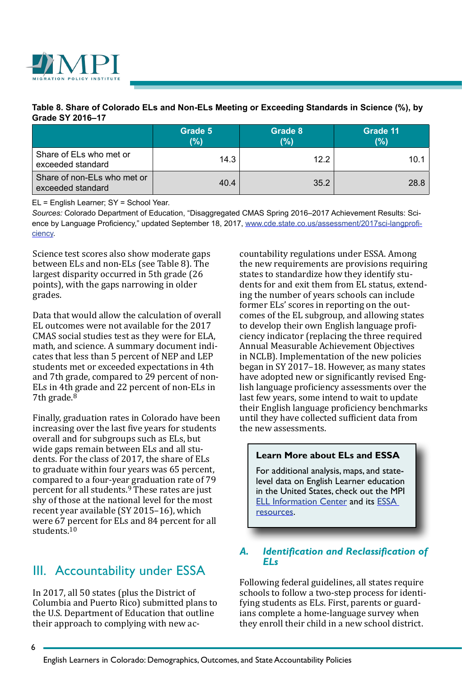

#### **Table 8. Share of Colorado ELs and Non-ELs Meeting or Exceeding Standards in Science (%), by Grade SY 2016–17**

|                                                  | Grade 5<br>(%) | Grade 8<br>(%) | Grade 11<br>(%) |
|--------------------------------------------------|----------------|----------------|-----------------|
| Share of ELs who met or<br>exceeded standard     | 14.3           | 12.2           | 10.1            |
| Share of non-ELs who met or<br>exceeded standard | 40.4           | 35.2           | 28.8            |

EL = English Learner; SY = School Year.

*Sources:* Colorado Department of Education, "Disaggregated CMAS Spring 2016–2017 Achievement Results: Science by Language Proficiency," updated September 18, 2017, [www.cde.state.co.us/assessment/2017sci-langprofi](http://www.cde.state.co.us/assessment/2017sci-langproficiency)[ciency](http://www.cde.state.co.us/assessment/2017sci-langproficiency).

Science test scores also show moderate gaps between ELs and non-ELs (see Table 8). The largest disparity occurred in 5th grade (26 points), with the gaps narrowing in older grades.

Data that would allow the calculation of overall EL outcomes were not available for the 2017 CMAS social studies test as they were for ELA, math, and science. A summary document indicates that less than 5 percent of NEP and LEP students met or exceeded expectations in 4th and 7th grade, compared to 29 percent of non-ELs in 4th grade and 22 percent of non-ELs in 7th grade.<sup>8</sup>

Finally, graduation rates in Colorado have been increasing over the last five years for students overall and for subgroups such as ELs, but wide gaps remain between ELs and all students. For the class of 2017, the share of ELs to graduate within four years was 65 percent, compared to a four-year graduation rate of 79 percent for all students.9 These rates are just shy of those at the national level for the most recent year available (SY 2015–16), which were 67 percent for ELs and 84 percent for all students.10

## III. Accountability under ESSA

In 2017, all 50 states (plus the District of Columbia and Puerto Rico) submitted plans to the U.S. Department of Education that outline their approach to complying with new accountability regulations under ESSA. Among the new requirements are provisions requiring states to standardize how they identify students for and exit them from EL status, extending the number of years schools can include former ELs' scores in reporting on the outcomes of the EL subgroup, and allowing states to develop their own English language proficiency indicator (replacing the three required Annual Measurable Achievement Objectives in NCLB). Implementation of the new policies began in SY 2017–18. However, as many states have adopted new or significantly revised English language proficiency assessments over the last few years, some intend to wait to update their English language proficiency benchmarks until they have collected sufficient data from the new assessments.

#### **Learn More about ELs and ESSA**

For additional analysis, maps, and statelevel data on English Learner education in the United States, check out the MPI [ELL Information Center](https://www.migrationpolicy.org/programs/ell-information-center) and its [ESSA](https://www.migrationpolicy.org/programs/english-learners-and-every-student-succeeds-act)  [resources.](https://www.migrationpolicy.org/programs/english-learners-and-every-student-succeeds-act)

#### *A. Identification and Reclassification of ELs*

Following federal guidelines, all states require schools to follow a two-step process for identifying students as ELs. First, parents or guardians complete a home-language survey when they enroll their child in a new school district.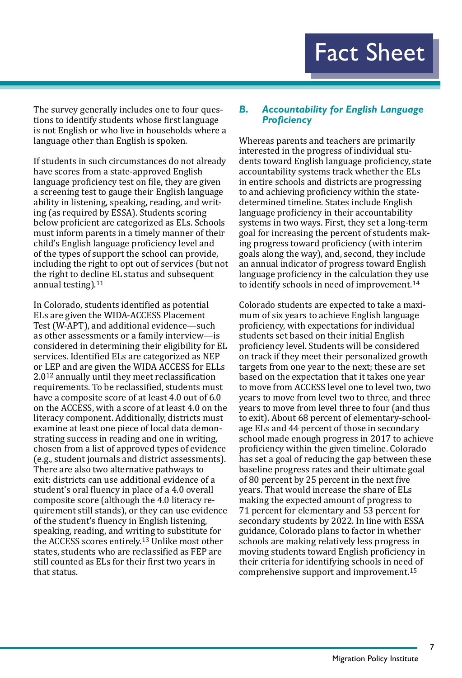The survey generally includes one to four questions to identify students whose first language is not English or who live in households where a language other than English is spoken.

If students in such circumstances do not already have scores from a state-approved English language proficiency test on file, they are given a screening test to gauge their English language ability in listening, speaking, reading, and writing (as required by ESSA). Students scoring below proficient are categorized as ELs. Schools must inform parents in a timely manner of their child's English language proficiency level and of the types of support the school can provide, including the right to opt out of services (but not the right to decline EL status and subsequent annual testing).11

In Colorado, students identified as potential ELs are given the WIDA-ACCESS Placement Test (W-APT), and additional evidence—such as other assessments or a family interview—is considered in determining their eligibility for EL services. Identified ELs are categorized as NEP or LEP and are given the WIDA ACCESS for ELLs 2.012 annually until they meet reclassification requirements. To be reclassified, students must have a composite score of at least 4.0 out of 6.0 on the ACCESS, with a score of at least 4.0 on the literacy component. Additionally, districts must examine at least one piece of local data demonstrating success in reading and one in writing, chosen from a list of approved types of evidence (e.g., student journals and district assessments). There are also two alternative pathways to exit: districts can use additional evidence of a student's oral fluency in place of a 4.0 overall composite score (although the 4.0 literacy requirement still stands), or they can use evidence of the student's fluency in English listening, speaking, reading, and writing to substitute for the ACCESS scores entirely.13 Unlike most other states, students who are reclassified as FEP are still counted as ELs for their first two years in that status.

#### *B. Accountability for English Language Proficiency*

Whereas parents and teachers are primarily interested in the progress of individual students toward English language proficiency, state accountability systems track whether the ELs in entire schools and districts are progressing to and achieving proficiency within the statedetermined timeline. States include English language proficiency in their accountability systems in two ways. First, they set a long-term goal for increasing the percent of students making progress toward proficiency (with interim goals along the way), and, second, they include an annual indicator of progress toward English language proficiency in the calculation they use to identify schools in need of improvement.14

Colorado students are expected to take a maximum of six years to achieve English language proficiency, with expectations for individual students set based on their initial English proficiency level. Students will be considered on track if they meet their personalized growth targets from one year to the next; these are set based on the expectation that it takes one year to move from ACCESS level one to level two, two years to move from level two to three, and three years to move from level three to four (and thus to exit). About 68 percent of elementary-schoolage ELs and 44 percent of those in secondary school made enough progress in 2017 to achieve proficiency within the given timeline. Colorado has set a goal of reducing the gap between these baseline progress rates and their ultimate goal of 80 percent by 25 percent in the next five years. That would increase the share of ELs making the expected amount of progress to 71 percent for elementary and 53 percent for secondary students by 2022. In line with ESSA guidance, Colorado plans to factor in whether schools are making relatively less progress in moving students toward English proficiency in their criteria for identifying schools in need of comprehensive support and improvement.15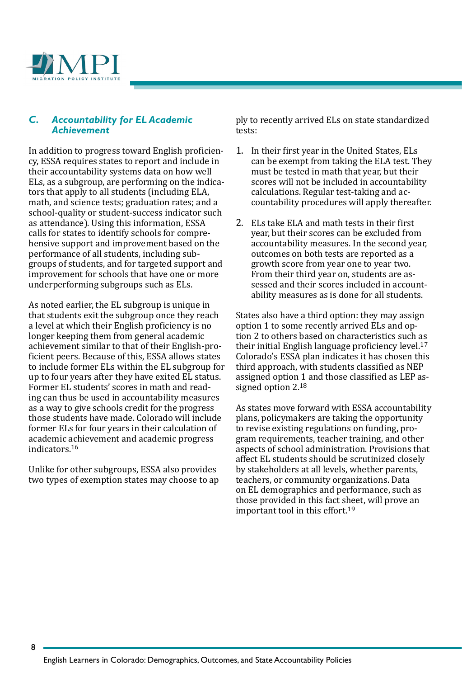

#### *C. Accountability for EL Academic Achievement*

In addition to progress toward English proficiency, ESSA requires states to report and include in their accountability systems data on how well ELs, as a subgroup, are performing on the indicators that apply to all students (including ELA, math, and science tests; graduation rates; and a school-quality or student-success indicator such as attendance). Using this information, ESSA calls for states to identify schools for comprehensive support and improvement based on the performance of all students, including subgroups of students, and for targeted support and improvement for schools that have one or more underperforming subgroups such as ELs.

As noted earlier, the EL subgroup is unique in that students exit the subgroup once they reach a level at which their English proficiency is no longer keeping them from general academic achievement similar to that of their English-proficient peers. Because of this, ESSA allows states to include former ELs within the EL subgroup for up to four years after they have exited EL status. Former EL students' scores in math and reading can thus be used in accountability measures as a way to give schools credit for the progress those students have made. Colorado will include former ELs for four years in their calculation of academic achievement and academic progress indicators.<sup>16</sup>

Unlike for other subgroups, ESSA also provides two types of exemption states may choose to ap ply to recently arrived ELs on state standardized tests:

- 1. In their first year in the United States, ELs can be exempt from taking the ELA test. They must be tested in math that year, but their scores will not be included in accountability calculations. Regular test-taking and accountability procedures will apply thereafter.
- 2. ELs take ELA and math tests in their first year, but their scores can be excluded from accountability measures. In the second year, outcomes on both tests are reported as a growth score from year one to year two. From their third year on, students are assessed and their scores included in accountability measures as is done for all students.

States also have a third option: they may assign option 1 to some recently arrived ELs and option 2 to others based on characteristics such as their initial English language proficiency level.17 Colorado's ESSA plan indicates it has chosen this third approach, with students classified as NEP assigned option 1 and those classified as LEP assigned option 2.18

As states move forward with ESSA accountability plans, policymakers are taking the opportunity to revise existing regulations on funding, program requirements, teacher training, and other aspects of school administration. Provisions that affect EL students should be scrutinized closely by stakeholders at all levels, whether parents, teachers, or community organizations. Data on EL demographics and performance, such as those provided in this fact sheet, will prove an important tool in this effort.19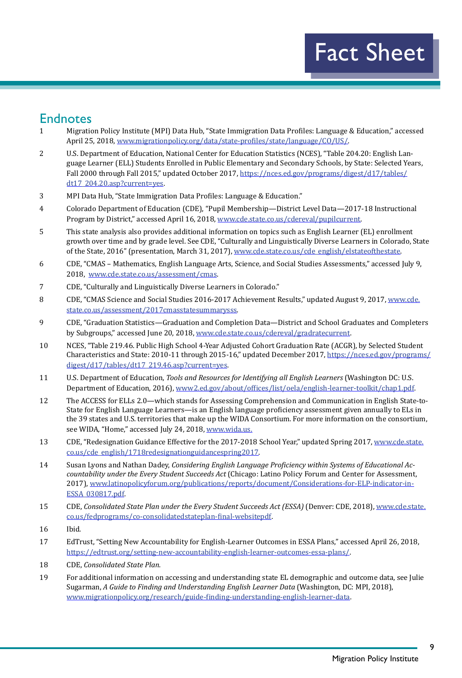## Endnotes

- 1 Migration Policy Institute (MPI) Data Hub, "State Immigration Data Profiles: Language & Education," accessed April 25, 2018, [www.migrationpolicy.org/data/state-profiles/state/language/CO/US/](http://www.migrationpolicy.org/data/state-profiles/state/language/CO/US/).
- 2 U.S. Department of Education, National Center for Education Statistics (NCES), "Table 204.20: English Language Learner (ELL) Students Enrolled in Public Elementary and Secondary Schools, by State: Selected Years, Fall 2000 through Fall 2015," updated October 2017, [https://nces.ed.gov/programs/digest/d17/tables/](https://nces.ed.gov/programs/digest/d17/tables/dt17_204.20.asp?current=yes) [dt17\\_204.20.asp?current=yes](https://nces.ed.gov/programs/digest/d17/tables/dt17_204.20.asp?current=yes).
- 3 MPI Data Hub, "State Immigration Data Profiles: Language & Education."
- 4 Colorado Department of Education (CDE), "Pupil Membership—District Level Data—2017-18 Instructional Program by District," accessed April 16, 2018, [www.cde.state.co.us/cdereval/pupilcurrent.](http://www.cde.state.co.us/cdereval/pupilcurrent)
- 5 This state analysis also provides additional information on topics such as English Learner (EL) enrollment growth over time and by grade level. See CDE, "Culturally and Linguistically Diverse Learners in Colorado, State of the State, 2016" (presentation, March 31, 2017), [www.cde.state.co.us/cde\\_english/elstateofthestate](http://www.cde.state.co.us/cde_english/elstateofthestate).
- 6 CDE, "CMAS Mathematics, English Language Arts, Science, and Social Studies Assessments," accessed July 9, 2018, [www.cde.state.co.us/assessment/cmas.](http://www.cde.state.co.us/assessment/cmas)
- 7 CDE, "Culturally and Linguistically Diverse Learners in Colorado."
- 8 CDE, "CMAS Science and Social Studies 2016-2017 Achievement Results," updated August 9, 2017, [www.cde.](http://www.cde.state.co.us/assessment/2017cmasstatesummarysss) [state.co.us/assessment/2017cmasstatesummarysss](http://www.cde.state.co.us/assessment/2017cmasstatesummarysss).
- 9 CDE, "Graduation Statistics—Graduation and Completion Data—District and School Graduates and Completers by Subgroups," accessed June 20, 2018, [www.cde.state.co.us/cdereval/gradratecurrent](http://www.cde.state.co.us/cdereval/gradratecurrent).
- 10 NCES, "Table 219.46. Public High School 4-Year Adjusted Cohort Graduation Rate (ACGR), by Selected Student Characteristics and State: 2010-11 through 2015-16," updated December 2017, [https://nces.ed.gov/programs/](https://nces.ed.gov/programs/digest/d17/tables/dt17_219.46.asp?current=yes) [digest/d17/tables/dt17\\_219.46.asp?current=yes](https://nces.ed.gov/programs/digest/d17/tables/dt17_219.46.asp?current=yes).
- 11 U.S. Department of Education, *Tools and Resources for Identifying all English Learners* (Washington DC: U.S. Department of Education, 2016), [www2.ed.gov/about/offices/list/oela/english-learner-toolkit/chap1.pdf](https://www2.ed.gov/about/offices/list/oela/english-learner-toolkit/chap1.pdf).
- 12 The ACCESS for ELLs 2.0—which stands for Assessing Comprehension and Communication in English State-to-State for English Language Learners—is an English language proficiency assessment given annually to ELs in the 39 states and U.S. territories that make up the WIDA Consortium. For more information on the consortium, see WIDA, "Home," accessed July 24, 2018, [www.wida.us](http://www.wida.us).
- 13 CDE, "Redesignation Guidance Effective for the 2017-2018 School Year," updated Spring 2017, [www.cde.state.](http://www.cde.state.co.us/cde_english/1718redesignationguidancespring2017) [co.us/cde\\_english/1718redesignationguidancespring2017](http://www.cde.state.co.us/cde_english/1718redesignationguidancespring2017).
- 14 Susan Lyons and Nathan Dadey, *Considering English Language Proficiency within Systems of Educational Accountability under the Every Student Succeeds Act* (Chicago: Latino Policy Forum and Center for Assessment, 2017), [www.latinopolicyforum.org/publications/reports/document/Considerations-for-ELP-indicator-in-](http://www.latinopolicyforum.org/publications/reports/document/Considerations-for-ELP-indicator-in-ESSA_030817.pdf)[ESSA\\_030817.pdf](http://www.latinopolicyforum.org/publications/reports/document/Considerations-for-ELP-indicator-in-ESSA_030817.pdf).
- 15 CDE, *Consolidated State Plan under the Every Student Succeeds Act (ESSA)* (Denver: CDE, 2018), [www.cde.state.](http://www.cde.state.co.us/fedprograms/co-consolidatedstateplan-final-websitepdf) [co.us/fedprograms/co-consolidatedstateplan-final-websitepdf](http://www.cde.state.co.us/fedprograms/co-consolidatedstateplan-final-websitepdf).
- 16 Ibid*.*
- 17 EdTrust, "Setting New Accountability for English-Learner Outcomes in ESSA Plans," accessed April 26, 2018, [https://edtrust.org/setting-new-accountability-english-learner-outcomes-essa-plans/.](https://edtrust.org/setting-new-accountability-english-learner-outcomes-essa-plans/)
- 18 CDE, *Consolidated State Plan*.
- 19 For additional information on accessing and understanding state EL demographic and outcome data, see Julie Sugarman, *A Guide to Finding and Understanding English Learner Data* (Washington, DC: MPI, 2018), [www.migrationpolicy.org/research/guide-finding-understanding-english-learner-data](http://www.migrationpolicy.org/research/guide-finding-understanding-english-learner-data).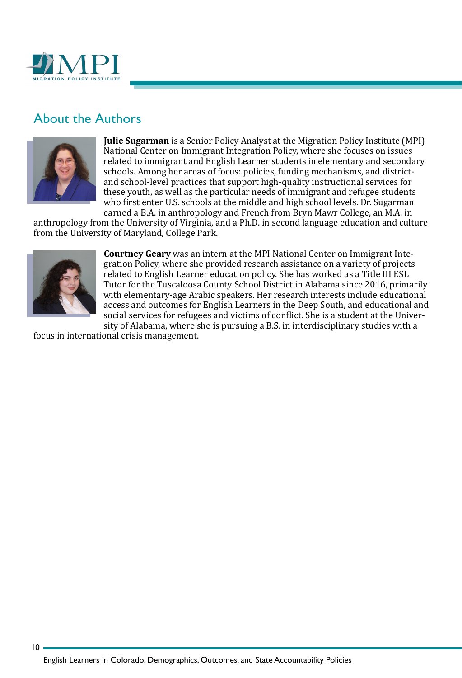

## About the Authors



**Julie Sugarman** is a Senior Policy Analyst at the Migration Policy Institute (MPI) National Center on Immigrant Integration Policy, where she focuses on issues related to immigrant and English Learner students in elementary and secondary schools. Among her areas of focus: policies, funding mechanisms, and districtand school-level practices that support high-quality instructional services for these youth, as well as the particular needs of immigrant and refugee students who first enter U.S. schools at the middle and high school levels. Dr. Sugarman earned a B.A. in anthropology and French from Bryn Mawr College, an M.A. in

anthropology from the University of Virginia, and a Ph.D. in second language education and culture from the University of Maryland, College Park.



 $10<sub>1</sub>$ 

**Courtney Geary** was an intern at the MPI National Center on Immigrant Integration Policy, where she provided research assistance on a variety of projects related to English Learner education policy. She has worked as a Title III ESL Tutor for the Tuscaloosa County School District in Alabama since 2016, primarily with elementary-age Arabic speakers. Her research interests include educational access and outcomes for English Learners in the Deep South, and educational and social services for refugees and victims of conflict. She is a student at the University of Alabama, where she is pursuing a B.S. in interdisciplinary studies with a

focus in international crisis management.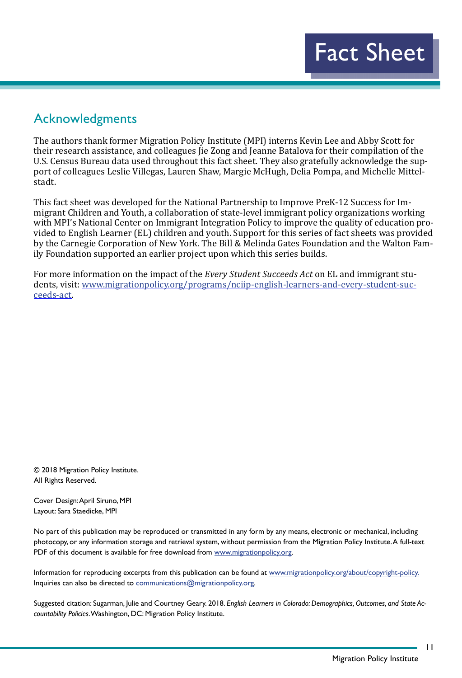## Acknowledgments

The authors thank former Migration Policy Institute (MPI) interns Kevin Lee and Abby Scott for their research assistance, and colleagues Jie Zong and Jeanne Batalova for their compilation of the U.S. Census Bureau data used throughout this fact sheet. They also gratefully acknowledge the support of colleagues Leslie Villegas, Lauren Shaw, Margie McHugh, Delia Pompa, and Michelle Mittelstadt.

This fact sheet was developed for the National Partnership to Improve PreK-12 Success for Immigrant Children and Youth, a collaboration of state-level immigrant policy organizations working with MPI's National Center on Immigrant Integration Policy to improve the quality of education provided to English Learner (EL) children and youth. Support for this series of fact sheets was provided by the Carnegie Corporation of New York. The Bill & Melinda Gates Foundation and the Walton Family Foundation supported an earlier project upon which this series builds.

For more information on the impact of the *Every Student Succeeds Act* on EL and immigrant students, visit: [www.migrationpolicy.org/programs/nciip-english-learners-and-every-student-suc](http://www.migrationpolicy.org/programs/nciip-english-learners-and-every-student-succeeds-act)[ceeds-act.](http://www.migrationpolicy.org/programs/nciip-english-learners-and-every-student-succeeds-act)

© 2018 Migration Policy Institute. All Rights Reserved.

Cover Design: April Siruno, MPI Layout: Sara Staedicke, MPI

No part of this publication may be reproduced or transmitted in any form by any means, electronic or mechanical, including photocopy, or any information storage and retrieval system, without permission from the Migration Policy Institute. A full-text PDF of this document is available for free download from [www.migrationpolicy.org.](http://www.migrationpolicy.org)

Information for reproducing excerpts from this publication can be found at [www.migrationpolicy.org/about/copyright-policy](http://www.migrationpolicy.org/about/copyright-policy). Inquiries can also be directed to [communications@migrationpolicy.org.](mailto:communications@migrationpolicy.org)

Suggested citation: Sugarman, Julie and Courtney Geary. 2018. *English Learners in Colorado: Demographics, Outcomes, and State Accountability Policies*. Washington, DC: Migration Policy Institute.